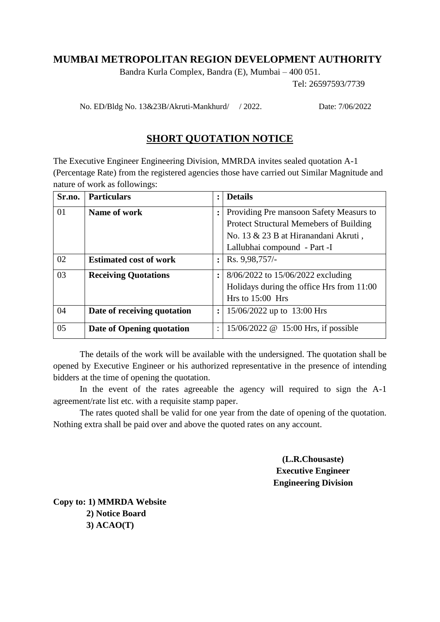## **MUMBAI METROPOLITAN REGION DEVELOPMENT AUTHORITY**

Bandra Kurla Complex, Bandra (E), Mumbai – 400 051.

Tel: 26597593/7739

No. ED/Bldg No. 13&23B/Akruti-Mankhurd/ / 2022. Date: 7/06/2022

## **SHORT QUOTATION NOTICE**

The Executive Engineer Engineering Division, MMRDA invites sealed quotation A-1 (Percentage Rate) from the registered agencies those have carried out Similar Magnitude and nature of work as followings:

| Sr.no. | <b>Particulars</b>            | $\ddot{\cdot}$       | <b>Details</b>                            |
|--------|-------------------------------|----------------------|-------------------------------------------|
| 01     | Name of work                  |                      | Providing Pre mansoon Safety Measurs to   |
|        |                               |                      | Protect Structural Memebers of Building   |
|        |                               |                      | No. 13 & 23 B at Hiranandani Akruti,      |
|        |                               |                      | Lallubhai compound - Part -I              |
| 02     | <b>Estimated cost of work</b> | $\ddot{\cdot}$       | Rs. 9,98,757/-                            |
| 03     | <b>Receiving Quotations</b>   |                      | 8/06/2022 to 15/06/2022 excluding         |
|        |                               |                      | Holidays during the office Hrs from 11:00 |
|        |                               |                      | Hrs to $15:00$ Hrs                        |
| 04     | Date of receiving quotation   | $\ddot{\phantom{a}}$ | $15/06/2022$ up to 13:00 Hrs              |
| 05     | Date of Opening quotation     | $\ddot{\phantom{a}}$ | 15/06/2022 @ 15:00 Hrs, if possible       |

The details of the work will be available with the undersigned. The quotation shall be opened by Executive Engineer or his authorized representative in the presence of intending bidders at the time of opening the quotation.

In the event of the rates agreeable the agency will required to sign the A-1 agreement/rate list etc. with a requisite stamp paper.

The rates quoted shall be valid for one year from the date of opening of the quotation. Nothing extra shall be paid over and above the quoted rates on any account.

> **(L.R.Chousaste) Executive Engineer Engineering Division**

**Copy to: 1) MMRDA Website 2) Notice Board 3) ACAO(T)**